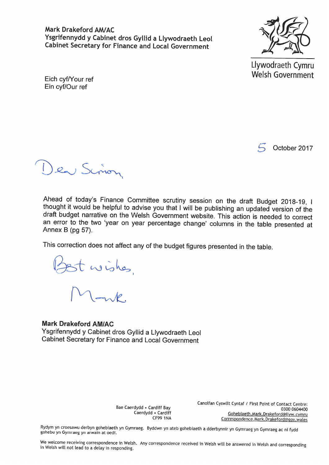Mark Drakeford AM/AC Ysgrifennydd y Cabinet dros Gyllid a Llywodraeth Leol **Cabinet Secretary for Finance and Local Government** 



Llywodraeth Cymru Welsh Government

Eich cyf/Your ref Ein cyf/Our ref

October 2017

la Sinon

Ahead of today's Finance Committee scrutiny session on the draft Budget 2018-19, I thought it would be helpful to advise you that I will be publishing an updated version of the draft budget narrative on the Welsh Government website. This action is needed to correct an error to the two 'year on year percentage change' columns in the table presented at Annex B (pg 57).

This correction does not affect any of the budget figures presented in the table.

Ist wishes,

**Mark Drakeford AM/AC** Ysgrifennydd y Cabinet dros Gyllid a Llywodraeth Leol Cabinet Secretary for Finance and Local Government

> Bae Caerdydd . Cardiff Bay Caerdydd . Cardiff  $CF99$  1NA

Canolfan Cyswllt Cyntaf / First Point of Contact Centre: 0300 0604400 Gohebiaeth.Mark.Drakeford@llyw.cymru Correspondence.Mark.Drakeford@gov.wales

Rydym yn croesawu derbyn gohebiaeth yn Gymraeg. Byddwn yn ateb gohebiaeth a dderbynnir yn Gymraeg yn Gymraeg ac ni fydd gohebu yn Gymraeg yn arwain at oedi.

We welcome receiving correspondence in Welsh. Any correspondence received in Welsh will be answered in Welsh and corresponding in Welsh will not lead to a delay in responding.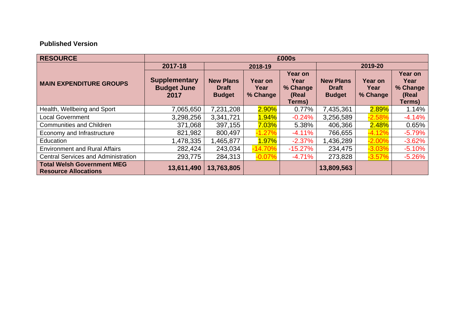## **Published Version**

| <b>RESOURCE</b>                                                  | £000s                                              |                                                   |                                    |                                                |                                                   |                             |                                                |  |  |
|------------------------------------------------------------------|----------------------------------------------------|---------------------------------------------------|------------------------------------|------------------------------------------------|---------------------------------------------------|-----------------------------|------------------------------------------------|--|--|
|                                                                  | 2017-18                                            | 2018-19                                           |                                    |                                                | 2019-20                                           |                             |                                                |  |  |
| <b>MAIN EXPENDITURE GROUPS</b>                                   | <b>Supplementary</b><br><b>Budget June</b><br>2017 | <b>New Plans</b><br><b>Draft</b><br><b>Budget</b> | <b>Year on</b><br>Year<br>% Change | Year on<br>Year<br>% Change<br>(Real<br>Terms) | <b>New Plans</b><br><b>Draft</b><br><b>Budget</b> | Year on<br>Year<br>% Change | Year on<br>Year<br>% Change<br>(Real<br>Terms) |  |  |
| Health, Wellbeing and Sport                                      | 7,065,650                                          | 7,231,208                                         | $2.90\%$                           | 0.77%                                          | 7,435,361                                         | 2.89%                       | 1.14%                                          |  |  |
| <b>Local Government</b>                                          | 3,298,256                                          | 3,341,721                                         | $1.94\%$                           | $-0.24%$                                       | 3,256,589                                         | $-2.58%$                    | $-4.14%$                                       |  |  |
| <b>Communities and Children</b>                                  | 371,068                                            | 397,155                                           | $7.03\%$                           | 5.38%                                          | 406,366                                           | $2.48\%$                    | 0.65%                                          |  |  |
| Economy and Infrastructure                                       | 821,982                                            | 800,497                                           | $-1.27%$                           | $-4.11%$                                       | 766,655                                           | $-4.12%$                    | $-5.79%$                                       |  |  |
| Education                                                        | 1,478,335                                          | 1,465,877                                         | $1.97\%$                           | $-2.37%$                                       | 1,436,289                                         | $-2.00\%$                   | $-3.62%$                                       |  |  |
| <b>Environment and Rural Affairs</b>                             | 282,424                                            | 243,034                                           | $-14.70%$                          | $-15.27%$                                      | 234,475                                           | $-3.03%$                    | $-5.10%$                                       |  |  |
| <b>Central Services and Administration</b>                       | 293,775                                            | 284,313                                           | $-0.07%$                           | $-4.71%$                                       | 273,828                                           | $-3.57%$                    | $-5.26%$                                       |  |  |
| <b>Total Welsh Government MEG</b><br><b>Resource Allocations</b> | 13,611,490                                         | 13,763,805                                        |                                    |                                                | 13,809,563                                        |                             |                                                |  |  |